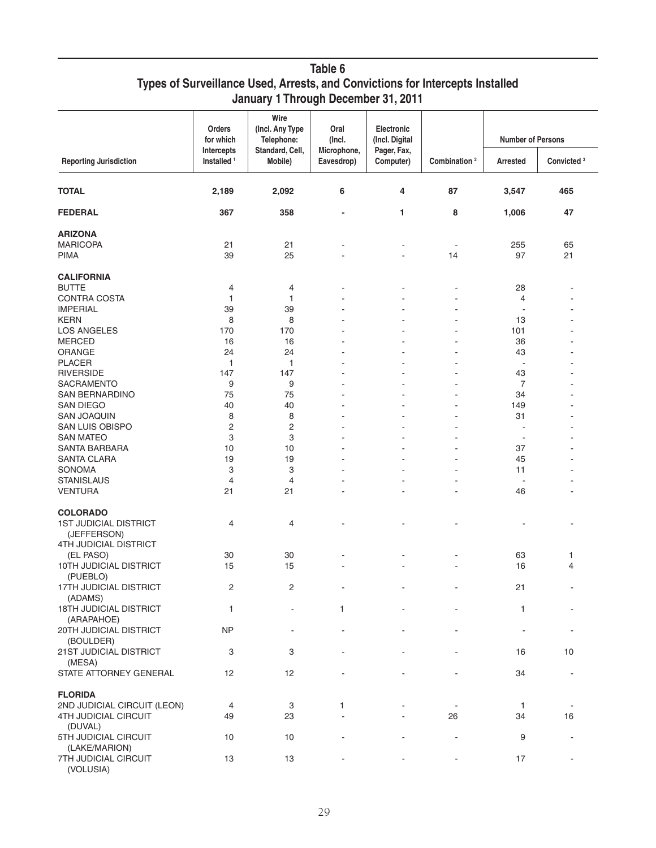| Table 6                                                                       |
|-------------------------------------------------------------------------------|
| Types of Surveillance Used, Arrests, and Convictions for Intercepts Installed |
| January 1 Through December 31, 2011                                           |

| <b>Reporting Jurisdiction</b>     | <b>Orders</b><br>for which<br>Intercepts<br>Installed <sup>1</sup> | Wire<br>(Incl. Any Type<br>Telephone:<br>Standard, Cell,<br>Mobile) | Oral<br>(Incl.<br>Microphone,<br>Eavesdrop) | Electronic<br>(Incl. Digital<br>Pager, Fax,<br>Computer) | Combination <sup>2</sup> | <b>Number of Persons</b> |                        |
|-----------------------------------|--------------------------------------------------------------------|---------------------------------------------------------------------|---------------------------------------------|----------------------------------------------------------|--------------------------|--------------------------|------------------------|
|                                   |                                                                    |                                                                     |                                             |                                                          |                          | Arrested                 | Convicted <sup>3</sup> |
| <b>TOTAL</b>                      | 2,189                                                              | 2,092                                                               | 6                                           | 4                                                        | 87                       | 3,547                    | 465                    |
| <b>FEDERAL</b>                    | 367                                                                | 358                                                                 | $\qquad \qquad \blacksquare$                | 1                                                        | 8                        | 1,006                    | 47                     |
| <b>ARIZONA</b>                    |                                                                    |                                                                     |                                             |                                                          |                          |                          |                        |
| <b>MARICOPA</b>                   | 21                                                                 | 21                                                                  |                                             |                                                          | $\overline{\phantom{a}}$ | 255                      | 65                     |
| <b>PIMA</b>                       | 39                                                                 | 25                                                                  |                                             |                                                          | 14                       | 97                       | 21                     |
| <b>CALIFORNIA</b>                 |                                                                    |                                                                     |                                             |                                                          |                          |                          |                        |
| <b>BUTTE</b>                      | 4                                                                  | 4                                                                   |                                             |                                                          |                          | 28                       |                        |
| <b>CONTRA COSTA</b>               | 1                                                                  | 1                                                                   |                                             |                                                          |                          | 4                        |                        |
| <b>IMPERIAL</b>                   | 39                                                                 | 39                                                                  |                                             |                                                          |                          | $\sim$                   |                        |
| <b>KERN</b>                       | 8                                                                  | 8                                                                   |                                             |                                                          |                          | 13                       |                        |
| <b>LOS ANGELES</b>                | 170                                                                | 170                                                                 |                                             |                                                          |                          | 101                      |                        |
|                                   |                                                                    |                                                                     |                                             |                                                          |                          |                          |                        |
| <b>MERCED</b>                     | 16                                                                 | 16                                                                  |                                             |                                                          |                          | 36                       |                        |
| <b>ORANGE</b>                     | 24                                                                 | 24                                                                  |                                             |                                                          |                          | 43                       |                        |
| <b>PLACER</b>                     | 1                                                                  | 1                                                                   |                                             |                                                          |                          | $\overline{\phantom{a}}$ |                        |
| <b>RIVERSIDE</b>                  | 147                                                                | 147                                                                 |                                             |                                                          |                          | 43                       |                        |
| SACRAMENTO                        | 9                                                                  | 9                                                                   |                                             |                                                          |                          | 7                        |                        |
| <b>SAN BERNARDINO</b>             | 75                                                                 | 75                                                                  |                                             |                                                          | ä,                       | 34                       |                        |
| <b>SAN DIEGO</b>                  | 40                                                                 | 40                                                                  |                                             |                                                          | ٠                        | 149                      |                        |
| <b>SAN JOAQUIN</b>                | 8                                                                  | 8                                                                   |                                             |                                                          |                          | 31                       |                        |
| <b>SAN LUIS OBISPO</b>            | 2                                                                  | 2                                                                   |                                             |                                                          | ä,                       | $\blacksquare$           |                        |
| <b>SAN MATEO</b>                  | 3                                                                  | 3                                                                   |                                             |                                                          |                          | $\blacksquare$           |                        |
| SANTA BARBARA                     | 10                                                                 | 10                                                                  |                                             |                                                          |                          | 37                       |                        |
| <b>SANTA CLARA</b>                | 19                                                                 | 19                                                                  |                                             |                                                          | ÷.                       | 45                       |                        |
| <b>SONOMA</b>                     | 3                                                                  | 3                                                                   |                                             |                                                          |                          | 11                       |                        |
| <b>STANISLAUS</b>                 | 4                                                                  | 4                                                                   |                                             |                                                          | ä,                       | ÷,                       |                        |
| <b>VENTURA</b>                    | 21                                                                 | 21                                                                  |                                             |                                                          |                          | 46                       |                        |
| <b>COLORADO</b>                   |                                                                    |                                                                     |                                             |                                                          |                          |                          |                        |
| <b>1ST JUDICIAL DISTRICT</b>      | 4                                                                  | 4                                                                   |                                             |                                                          |                          |                          |                        |
| (JEFFERSON)                       |                                                                    |                                                                     |                                             |                                                          |                          |                          |                        |
| 4TH JUDICIAL DISTRICT             |                                                                    |                                                                     |                                             |                                                          |                          |                          |                        |
| (EL PASO)                         | 30                                                                 | 30                                                                  |                                             |                                                          |                          | 63                       | 1                      |
| 10TH JUDICIAL DISTRICT            | 15                                                                 | 15                                                                  |                                             |                                                          |                          | 16                       | 4                      |
| (PUEBLO)                          |                                                                    |                                                                     |                                             |                                                          |                          |                          |                        |
| 17TH JUDICIAL DISTRICT            | 2                                                                  | 2                                                                   |                                             |                                                          |                          | 21                       |                        |
| (ADAMS)                           |                                                                    |                                                                     |                                             |                                                          |                          |                          |                        |
| 18TH JUDICIAL DISTRICT            | 1                                                                  |                                                                     | 1                                           |                                                          |                          | 1                        |                        |
| (ARAPAHOE)                        |                                                                    |                                                                     |                                             |                                                          |                          |                          |                        |
| 20TH JUDICIAL DISTRICT            | <b>NP</b>                                                          |                                                                     |                                             |                                                          |                          |                          |                        |
| (BOULDER)                         |                                                                    |                                                                     |                                             |                                                          |                          |                          |                        |
| 21ST JUDICIAL DISTRICT            | 3                                                                  | 3                                                                   |                                             |                                                          |                          | 16                       | 10                     |
| (MESA)                            |                                                                    |                                                                     |                                             |                                                          |                          |                          |                        |
| STATE ATTORNEY GENERAL            | 12                                                                 | 12                                                                  |                                             |                                                          |                          | 34                       |                        |
|                                   |                                                                    |                                                                     |                                             |                                                          |                          |                          |                        |
| <b>FLORIDA</b>                    |                                                                    |                                                                     |                                             |                                                          |                          |                          |                        |
| 2ND JUDICIAL CIRCUIT (LEON)       | 4                                                                  | 3                                                                   | 1                                           |                                                          |                          | $\mathbf{1}$             |                        |
| 4TH JUDICIAL CIRCUIT              | 49                                                                 | 23                                                                  |                                             |                                                          | 26                       | 34                       | 16                     |
| (DUVAL)                           |                                                                    |                                                                     |                                             |                                                          |                          |                          |                        |
| 5TH JUDICIAL CIRCUIT              | 10                                                                 | 10                                                                  |                                             |                                                          |                          | 9                        |                        |
| (LAKE/MARION)                     |                                                                    |                                                                     |                                             |                                                          |                          |                          |                        |
| 7TH JUDICIAL CIRCUIT<br>(VOLUSIA) | 13                                                                 | 13                                                                  |                                             |                                                          |                          | 17                       |                        |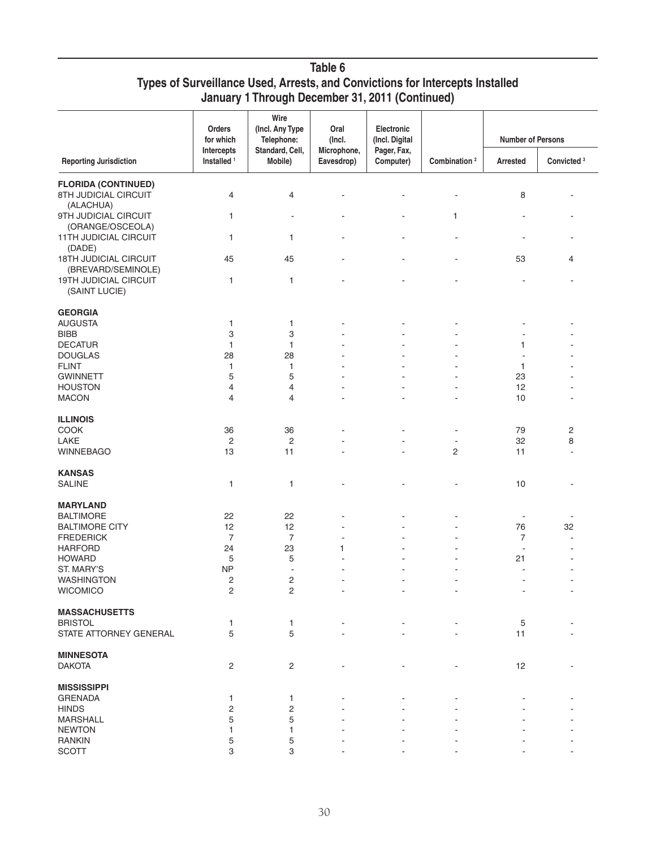## **Table 6 Types of Surveillance Used, Arrests, and Convictions for Intercepts Installed January 1 Through December 31, 2011 (Continued)**

|                                                    | Orders<br>for which                  | Wire<br>(Incl. Any Type<br>Telephone: | Oral<br>(Incl.            | Electronic<br>(Incl. Digital |                          | <b>Number of Persons</b> |                        |
|----------------------------------------------------|--------------------------------------|---------------------------------------|---------------------------|------------------------------|--------------------------|--------------------------|------------------------|
| <b>Reporting Jurisdiction</b>                      | Intercepts<br>Installed <sup>1</sup> | Standard, Cell,<br>Mobile)            | Microphone,<br>Eavesdrop) | Pager, Fax,<br>Computer)     | Combination <sup>2</sup> | <b>Arrested</b>          | Convicted <sup>3</sup> |
| <b>FLORIDA (CONTINUED)</b>                         |                                      |                                       |                           |                              |                          |                          |                        |
| 8TH JUDICIAL CIRCUIT<br>(ALACHUA)                  | 4                                    | 4                                     |                           |                              |                          | 8                        |                        |
| 9TH JUDICIAL CIRCUIT<br>(ORANGE/OSCEOLA)           | 1                                    | $\overline{\phantom{a}}$              |                           |                              | 1                        |                          |                        |
| 11TH JUDICIAL CIRCUIT<br>(DADE)                    | 1                                    | 1                                     |                           |                              |                          |                          |                        |
| <b>18TH JUDICIAL CIRCUIT</b><br>(BREVARD/SEMINOLE) | 45                                   | 45                                    |                           |                              |                          | 53                       | 4                      |
| 19TH JUDICIAL CIRCUIT<br>(SAINT LUCIE)             | 1                                    | $\mathbf{1}$                          |                           |                              |                          |                          |                        |
| <b>GEORGIA</b>                                     |                                      |                                       |                           |                              |                          |                          |                        |
| <b>AUGUSTA</b>                                     | 1                                    | 1                                     |                           |                              |                          |                          |                        |
| <b>BIBB</b>                                        | 3                                    | 3                                     |                           |                              |                          |                          |                        |
| <b>DECATUR</b>                                     | 1                                    | 1                                     |                           |                              |                          | 1                        |                        |
| <b>DOUGLAS</b>                                     | 28                                   | 28                                    |                           |                              |                          |                          |                        |
| <b>FLINT</b>                                       | 1                                    | 1                                     |                           |                              |                          | 1                        |                        |
| <b>GWINNETT</b>                                    | 5                                    | 5                                     |                           |                              |                          | 23                       |                        |
| <b>HOUSTON</b>                                     | 4                                    | 4                                     |                           |                              |                          | 12                       |                        |
| <b>MACON</b>                                       | 4                                    | $\overline{4}$                        |                           |                              |                          | 10                       |                        |
| <b>ILLINOIS</b>                                    |                                      |                                       |                           |                              |                          |                          |                        |
| COOK                                               | 36                                   | 36                                    |                           |                              |                          | 79                       | 2                      |
| LAKE                                               | 2                                    | $\overline{c}$                        |                           |                              | ÷,                       | 32                       | 8                      |
| <b>WINNEBAGO</b>                                   | 13                                   | 11                                    |                           |                              | $\overline{c}$           | 11                       | ä,                     |
| <b>KANSAS</b>                                      |                                      |                                       |                           |                              |                          |                          |                        |
| <b>SALINE</b>                                      | 1                                    | 1                                     |                           |                              |                          | 10                       |                        |
| <b>MARYLAND</b>                                    |                                      |                                       |                           |                              |                          |                          |                        |
| <b>BALTIMORE</b>                                   | 22                                   | 22                                    |                           |                              |                          |                          |                        |
| <b>BALTIMORE CITY</b>                              | 12                                   | 12                                    |                           |                              |                          | 76                       | 32                     |
| <b>FREDERICK</b>                                   | $\overline{7}$                       | $\overline{7}$                        |                           |                              |                          | $\overline{7}$           |                        |
| <b>HARFORD</b>                                     | 24                                   | 23                                    | 1                         |                              |                          | $\overline{\phantom{a}}$ |                        |
| <b>HOWARD</b>                                      | 5                                    | 5                                     |                           |                              |                          | 21                       |                        |
| ST. MARY'S                                         | <b>NP</b>                            | $\blacksquare$                        |                           |                              |                          |                          |                        |
| <b>WASHINGTON</b>                                  | 2                                    | $\overline{c}$                        |                           |                              |                          |                          | ÷,                     |
| WICOMICO                                           | $\overline{\mathbf{c}}$              | 2                                     |                           |                              |                          |                          |                        |
| <b>MASSACHUSETTS</b>                               |                                      |                                       |                           |                              |                          |                          |                        |
| <b>BRISTOL</b>                                     | 1                                    | 1                                     |                           |                              |                          | 5                        |                        |
| STATE ATTORNEY GENERAL                             | 5                                    | 5                                     |                           |                              |                          | 11                       |                        |
| <b>MINNESOTA</b>                                   |                                      |                                       |                           |                              |                          |                          |                        |
| <b>DAKOTA</b>                                      | 2                                    | $\mathsf{2}\,$                        |                           |                              |                          | 12                       |                        |
| <b>MISSISSIPPI</b>                                 |                                      |                                       |                           |                              |                          |                          |                        |
| <b>GRENADA</b>                                     | 1                                    | 1                                     |                           |                              |                          |                          |                        |
| <b>HINDS</b>                                       | 2                                    | $\overline{c}$                        |                           |                              |                          |                          |                        |
| <b>MARSHALL</b>                                    | 5                                    | 5                                     |                           |                              |                          |                          |                        |
| <b>NEWTON</b>                                      | 1                                    | 1                                     |                           |                              |                          |                          |                        |
| <b>RANKIN</b>                                      | 5                                    | 5                                     |                           |                              |                          |                          |                        |
| <b>SCOTT</b>                                       | 3                                    | 3                                     |                           |                              |                          |                          |                        |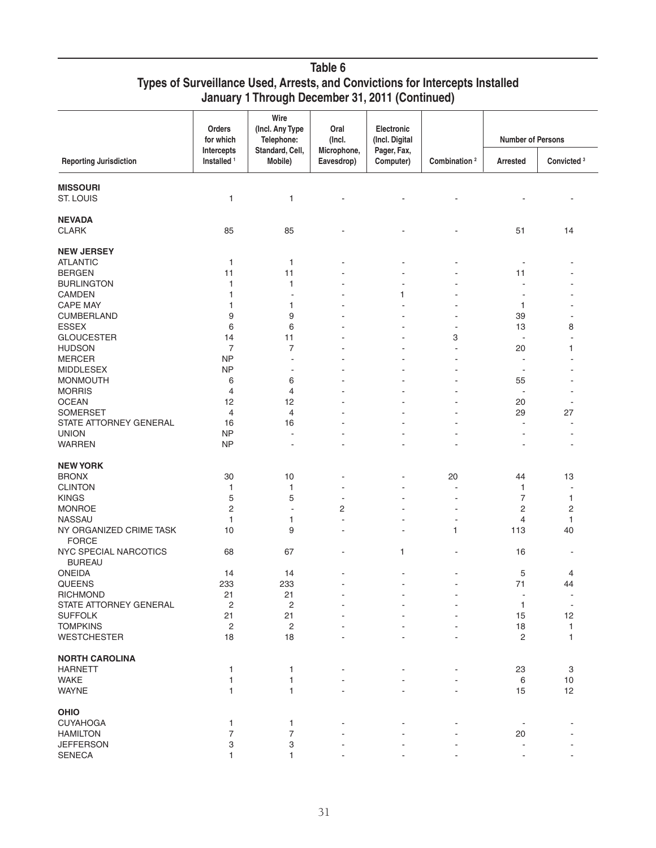## **Table 6 Types of Surveillance Used, Arrests, and Convictions for Intercepts Installed January 1 Through December 31, 2011 (Continued)**

|                                        | Orders<br>for which                  | Wire<br>(Incl. Any Type<br>Telephone: | Oral<br>(Incl.            | Electronic<br>(Incl. Digital |                          | <b>Number of Persons</b> |                        |
|----------------------------------------|--------------------------------------|---------------------------------------|---------------------------|------------------------------|--------------------------|--------------------------|------------------------|
| <b>Reporting Jurisdiction</b>          | Intercepts<br>Installed <sup>1</sup> | Standard, Cell,<br>Mobile)            | Microphone,<br>Eavesdrop) | Pager, Fax,<br>Computer)     | Combination <sup>2</sup> | Arrested                 | Convicted <sup>3</sup> |
| <b>MISSOURI</b>                        |                                      |                                       |                           |                              |                          |                          |                        |
| ST. LOUIS                              | 1                                    | 1                                     |                           |                              |                          |                          |                        |
|                                        |                                      |                                       |                           |                              |                          |                          |                        |
| <b>NEVADA</b>                          |                                      |                                       |                           |                              |                          |                          |                        |
| <b>CLARK</b>                           | 85                                   | 85                                    |                           |                              |                          | 51                       | 14                     |
| <b>NEW JERSEY</b>                      |                                      |                                       |                           |                              |                          |                          |                        |
|                                        |                                      |                                       |                           |                              |                          |                          |                        |
| <b>ATLANTIC</b>                        | 1                                    | 1                                     |                           |                              |                          |                          |                        |
| <b>BERGEN</b>                          | 11                                   | 11                                    |                           |                              |                          | 11                       |                        |
| <b>BURLINGTON</b>                      | 1                                    | 1                                     |                           |                              | ä,                       | L,                       |                        |
| <b>CAMDEN</b>                          | 1                                    | $\overline{\phantom{a}}$              |                           | 1                            |                          |                          |                        |
| <b>CAPE MAY</b>                        | 1                                    | 1                                     |                           |                              | ÷.                       | 1                        |                        |
| <b>CUMBERLAND</b>                      | 9                                    | 9                                     |                           |                              | $\blacksquare$           | 39                       |                        |
| <b>ESSEX</b>                           | 6                                    | 6                                     |                           |                              | $\overline{a}$           | 13                       | 8                      |
| <b>GLOUCESTER</b>                      | 14                                   | 11                                    |                           |                              | 3                        | $\sim$                   | ۰                      |
| <b>HUDSON</b>                          | $\overline{7}$                       | 7                                     |                           |                              | ÷,                       | 20                       | 1                      |
| <b>MERCER</b>                          | <b>NP</b>                            | ÷,                                    |                           |                              |                          |                          |                        |
| <b>MIDDLESEX</b>                       | <b>NP</b>                            | $\overline{\phantom{a}}$              |                           |                              | ٠                        | $\overline{\phantom{a}}$ |                        |
| <b>MONMOUTH</b>                        | 6                                    | 6                                     |                           |                              | ٠                        | 55                       |                        |
| <b>MORRIS</b>                          | 4                                    | 4                                     |                           |                              |                          | $\overline{\phantom{a}}$ |                        |
| <b>OCEAN</b>                           | 12                                   | 12                                    | Ĭ.                        |                              | ٠                        | 20                       | ۰                      |
| <b>SOMERSET</b>                        | $\overline{4}$                       | $\overline{4}$                        |                           |                              | ÷,                       | 29                       | 27                     |
|                                        | 16                                   | 16                                    |                           |                              |                          | ÷,                       |                        |
| STATE ATTORNEY GENERAL                 |                                      |                                       |                           |                              |                          |                          |                        |
| <b>UNION</b><br><b>WARREN</b>          | <b>NP</b><br><b>NP</b>               | $\overline{\phantom{a}}$              | ÷                         |                              |                          | $\sim$<br>ä,             |                        |
|                                        |                                      | $\overline{\phantom{a}}$              |                           |                              |                          |                          |                        |
| <b>NEW YORK</b>                        |                                      |                                       |                           |                              |                          |                          |                        |
| <b>BRONX</b>                           | 30                                   | 10                                    | Ĭ.                        |                              | 20                       | 44                       | 13                     |
| <b>CLINTON</b>                         | 1                                    | 1                                     |                           |                              | $\overline{a}$           | 1                        | ÷,                     |
| <b>KINGS</b>                           | 5                                    | 5                                     | ٠                         |                              | $\blacksquare$           | $\overline{7}$           | 1                      |
| <b>MONROE</b>                          | 2                                    | $\blacksquare$                        | 2                         |                              | $\overline{a}$           | $\overline{c}$           | $\overline{c}$         |
| <b>NASSAU</b>                          | 1                                    | 1                                     | Ĭ.                        |                              | ٠                        | 4                        | 1                      |
| NY ORGANIZED CRIME TASK                | 10                                   | 9                                     | $\overline{\phantom{a}}$  |                              | 1                        | 113                      | 40                     |
| <b>FORCE</b>                           |                                      |                                       |                           |                              |                          |                          |                        |
| NYC SPECIAL NARCOTICS<br><b>BUREAU</b> | 68                                   | 67                                    |                           | 1                            |                          | 16                       |                        |
| <b>ONEIDA</b>                          | 14                                   | 14                                    |                           | ٠                            | $\blacksquare$           | 5                        | 4                      |
| QUEENS                                 | 233                                  | 233                                   | ÷,                        |                              | $\blacksquare$           | 71                       | 44                     |
| <b>RICHMOND</b>                        | 21                                   | 21                                    | $\overline{\phantom{a}}$  |                              | $\blacksquare$           | $\overline{\phantom{a}}$ | $\blacksquare$         |
| <b>STATE ATTORNEY GENERAL</b>          |                                      |                                       |                           |                              |                          |                          | $\blacksquare$         |
|                                        | $\mathbf 2$                          | $\mathbf 2$                           |                           |                              |                          | 1                        |                        |
| <b>SUFFOLK</b>                         | 21                                   | 21                                    |                           |                              |                          | 15                       | 12                     |
| <b>TOMPKINS</b>                        | 2                                    | 2                                     |                           |                              |                          | 18                       | 1                      |
| <b>WESTCHESTER</b>                     | 18                                   | 18                                    |                           |                              |                          | $\overline{c}$           | 1                      |
| <b>NORTH CAROLINA</b>                  |                                      |                                       |                           |                              |                          |                          |                        |
| <b>HARNETT</b>                         | 1                                    | 1                                     |                           |                              |                          | 23                       | 3                      |
| <b>WAKE</b>                            | 1                                    | 1                                     |                           |                              |                          | 6                        | 10                     |
| <b>WAYNE</b>                           | 1                                    | 1                                     |                           |                              |                          | 15                       | 12                     |
| <b>OHIO</b>                            |                                      |                                       |                           |                              |                          |                          |                        |
| <b>CUYAHOGA</b>                        | 1                                    | 1                                     |                           |                              |                          |                          |                        |
| <b>HAMILTON</b>                        | 7                                    | $\overline{\mathcal{I}}$              |                           |                              |                          | 20                       |                        |
| <b>JEFFERSON</b>                       |                                      |                                       |                           |                              |                          |                          |                        |
|                                        | 3                                    | 3                                     |                           |                              |                          |                          |                        |
| <b>SENECA</b>                          | 1                                    | $\mathbf{1}$                          |                           |                              |                          |                          |                        |